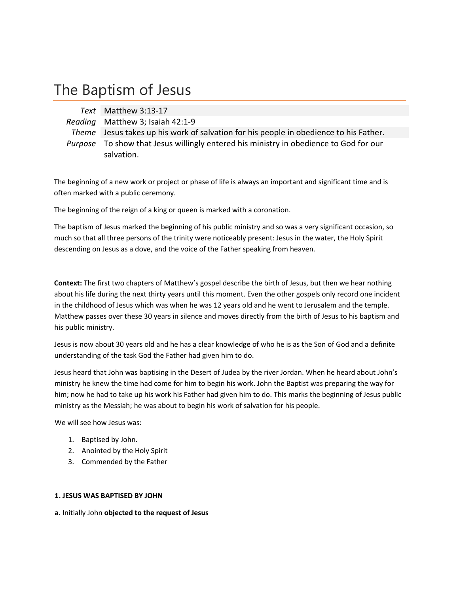# The Baptism of Jesus

*Text* Matthew 3:13‐17 *Reading* | Matthew 3; Isaiah 42:1-9 *Theme* Jesus takes up his work of salvation for his people in obedience to his Father. *Purpose* To show that Jesus willingly entered his ministry in obedience to God for our salvation.

The beginning of a new work or project or phase of life is always an important and significant time and is often marked with a public ceremony.

The beginning of the reign of a king or queen is marked with a coronation.

The baptism of Jesus marked the beginning of his public ministry and so was a very significant occasion, so much so that all three persons of the trinity were noticeably present: Jesus in the water, the Holy Spirit descending on Jesus as a dove, and the voice of the Father speaking from heaven.

**Context:** The first two chapters of Matthew's gospel describe the birth of Jesus, but then we hear nothing about his life during the next thirty years until this moment. Even the other gospels only record one incident in the childhood of Jesus which was when he was 12 years old and he went to Jerusalem and the temple. Matthew passes over these 30 years in silence and moves directly from the birth of Jesus to his baptism and his public ministry.

Jesus is now about 30 years old and he has a clear knowledge of who he is as the Son of God and a definite understanding of the task God the Father had given him to do.

Jesus heard that John was baptising in the Desert of Judea by the river Jordan. When he heard about John's ministry he knew the time had come for him to begin his work. John the Baptist was preparing the way for him; now he had to take up his work his Father had given him to do. This marks the beginning of Jesus public ministry as the Messiah; he was about to begin his work of salvation for his people.

We will see how Jesus was:

- 1. Baptised by John.
- 2. Anointed by the Holy Spirit
- 3. Commended by the Father

### **1. JESUS WAS BAPTISED BY JOHN**

**a.** Initially John **objected to the request of Jesus**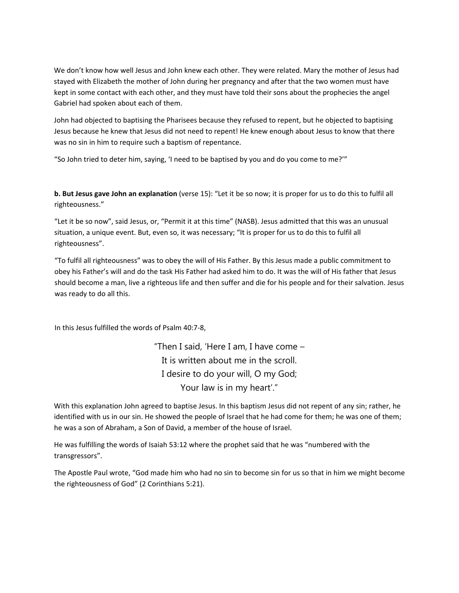We don't know how well Jesus and John knew each other. They were related. Mary the mother of Jesus had stayed with Elizabeth the mother of John during her pregnancy and after that the two women must have kept in some contact with each other, and they must have told their sons about the prophecies the angel Gabriel had spoken about each of them.

John had objected to baptising the Pharisees because they refused to repent, but he objected to baptising Jesus because he knew that Jesus did not need to repent! He knew enough about Jesus to know that there was no sin in him to require such a baptism of repentance.

"So John tried to deter him, saying, 'I need to be baptised by you and do you come to me?'"

**b. But Jesus gave John an explanation** (verse 15): "Let it be so now; it is proper for us to do this to fulfil all righteousness."

"Let it be so now", said Jesus, or, "Permit it at this time" (NASB). Jesus admitted that this was an unusual situation, a unique event. But, even so, it was necessary; "It is proper for us to do this to fulfil all righteousness".

"To fulfil all righteousness" was to obey the will of His Father. By this Jesus made a public commitment to obey his Father's will and do the task His Father had asked him to do. It was the will of His father that Jesus should become a man, live a righteous life and then suffer and die for his people and for their salvation. Jesus was ready to do all this.

In this Jesus fulfilled the words of Psalm 40:7‐8,

"Then I said, 'Here I am, I have come – It is written about me in the scroll. I desire to do your will, O my God; Your law is in my heart'."

With this explanation John agreed to baptise Jesus. In this baptism Jesus did not repent of any sin; rather, he identified with us in our sin. He showed the people of Israel that he had come for them; he was one of them; he was a son of Abraham, a Son of David, a member of the house of Israel.

He was fulfilling the words of Isaiah 53:12 where the prophet said that he was "numbered with the transgressors".

The Apostle Paul wrote, "God made him who had no sin to become sin for us so that in him we might become the righteousness of God" (2 Corinthians 5:21).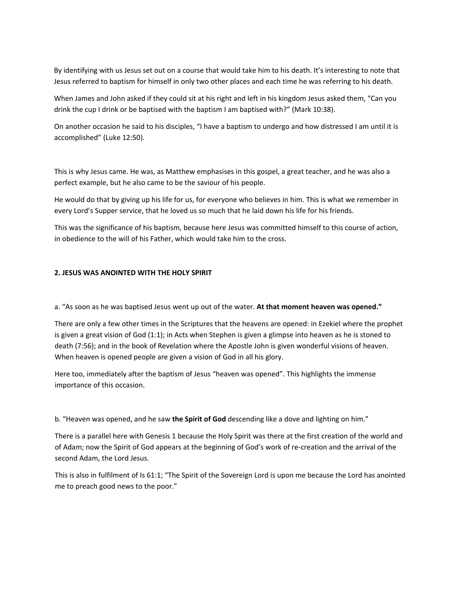By identifying with us Jesus set out on a course that would take him to his death. It's interesting to note that Jesus referred to baptism for himself in only two other places and each time he was referring to his death.

When James and John asked if they could sit at his right and left in his kingdom Jesus asked them, "Can you drink the cup I drink or be baptised with the baptism I am baptised with?" (Mark 10:38).

On another occasion he said to his disciples, "I have a baptism to undergo and how distressed I am until it is accomplished" (Luke 12:50).

This is why Jesus came. He was, as Matthew emphasises in this gospel, a great teacher, and he was also a perfect example, but he also came to be the saviour of his people.

He would do that by giving up his life for us, for everyone who believes in him. This is what we remember in every Lord's Supper service, that he loved us so much that he laid down his life for his friends.

This was the significance of his baptism, because here Jesus was committed himself to this course of action, in obedience to the will of his Father, which would take him to the cross.

## **2. JESUS WAS ANOINTED WITH THE HOLY SPIRIT**

a. "As soon as he was baptised Jesus went up out of the water. **At that moment heaven was opened."**

There are only a few other times in the Scriptures that the heavens are opened: in Ezekiel where the prophet is given a great vision of God (1:1); in Acts when Stephen is given a glimpse into heaven as he is stoned to death (7:56); and in the book of Revelation where the Apostle John is given wonderful visions of heaven. When heaven is opened people are given a vision of God in all his glory.

Here too, immediately after the baptism of Jesus "heaven was opened". This highlights the immense importance of this occasion.

b. "Heaven was opened, and he saw **the Spirit of God** descending like a dove and lighting on him."

There is a parallel here with Genesis 1 because the Holy Spirit was there at the first creation of the world and of Adam; now the Spirit of God appears at the beginning of God's work of re‐creation and the arrival of the second Adam, the Lord Jesus.

This is also in fulfilment of Is 61:1; "The Spirit of the Sovereign Lord is upon me because the Lord has anointed me to preach good news to the poor."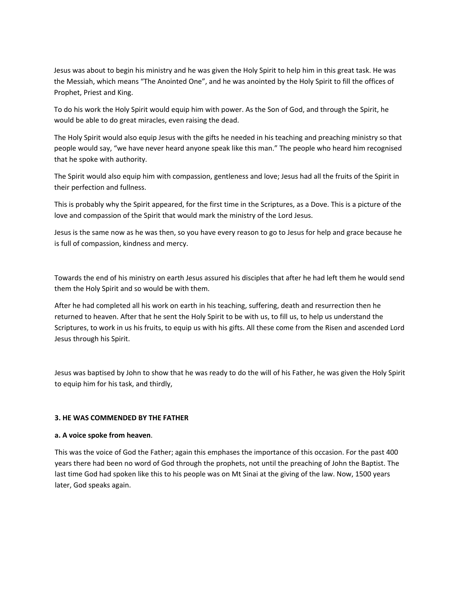Jesus was about to begin his ministry and he was given the Holy Spirit to help him in this great task. He was the Messiah, which means "The Anointed One", and he was anointed by the Holy Spirit to fill the offices of Prophet, Priest and King.

To do his work the Holy Spirit would equip him with power. As the Son of God, and through the Spirit, he would be able to do great miracles, even raising the dead.

The Holy Spirit would also equip Jesus with the gifts he needed in his teaching and preaching ministry so that people would say, "we have never heard anyone speak like this man." The people who heard him recognised that he spoke with authority.

The Spirit would also equip him with compassion, gentleness and love; Jesus had all the fruits of the Spirit in their perfection and fullness.

This is probably why the Spirit appeared, for the first time in the Scriptures, as a Dove. This is a picture of the love and compassion of the Spirit that would mark the ministry of the Lord Jesus.

Jesus is the same now as he was then, so you have every reason to go to Jesus for help and grace because he is full of compassion, kindness and mercy.

Towards the end of his ministry on earth Jesus assured his disciples that after he had left them he would send them the Holy Spirit and so would be with them.

After he had completed all his work on earth in his teaching, suffering, death and resurrection then he returned to heaven. After that he sent the Holy Spirit to be with us, to fill us, to help us understand the Scriptures, to work in us his fruits, to equip us with his gifts. All these come from the Risen and ascended Lord Jesus through his Spirit.

Jesus was baptised by John to show that he was ready to do the will of his Father, he was given the Holy Spirit to equip him for his task, and thirdly,

# **3. HE WAS COMMENDED BY THE FATHER**

### **a. A voice spoke from heaven**.

This was the voice of God the Father; again this emphases the importance of this occasion. For the past 400 years there had been no word of God through the prophets, not until the preaching of John the Baptist. The last time God had spoken like this to his people was on Mt Sinai at the giving of the law. Now, 1500 years later, God speaks again.